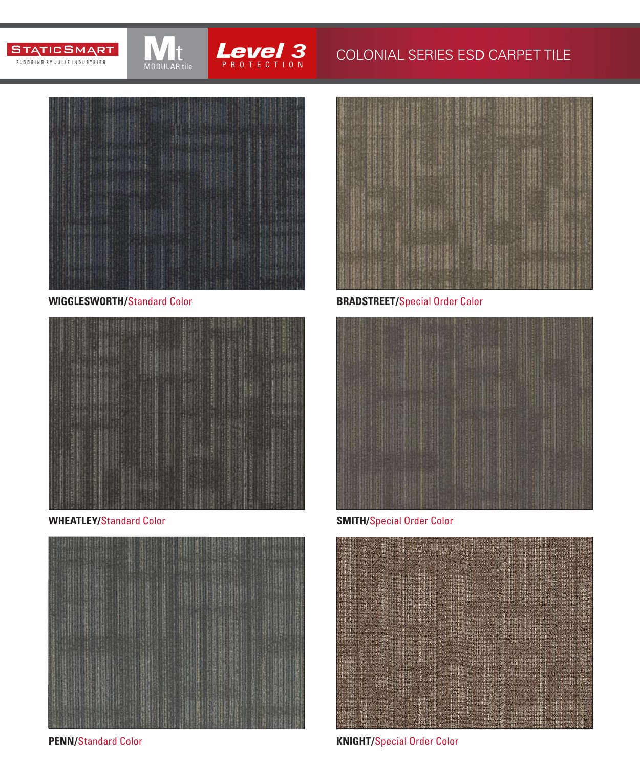



## **3** COLONIAL SERIES ESD CARPET TILE



t MODULAR tile

**WIGGLESWORTH/**Standard Color



**WHEATLEY/**Standard Color **SMITH/**Special Order Color



**PENN/**Standard Color



**BRADSTREET/**Special Order Color





**KNIGHT/**Special Order Color